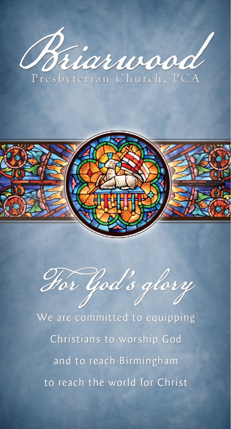



Hor God's glory

We are committed to equipping Christians to worship God and to reach Birmingham to reach the world for Christ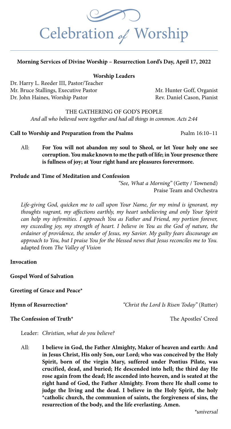

#### **Morning Services of Divine Worship – Resurrection Lord's Day, April 17, 2022**

#### **Worship Leaders**

Dr. Harry L. Reeder III, Pastor/Teacher Mr. Bruce Stallings, Executive Pastor Mr. Hunter Goff, Organist Dr. John Haines, Worship Pastor Rev. Daniel Cason, Pianist

#### THE GATHERING OF GOD'S PEOPLE

*And all who believed were together and had all things in common. Acts 2:44*

**Call to Worship and Preparation from the Psalms** Psalm 16:10-11

All: **For You will not abandon my soul to Sheol, or let Your holy one see corruption. You make known to me the path of life; in Your presence there is fullness of joy; at Your right hand are pleasures forevermore.**

#### **Prelude and Time of Meditation and Confession**

*"See, What a Morning"* (Getty / Townend) Praise Team and Orchestra

*Life-giving God, quicken me to call upon Your Name, for my mind is ignorant, my thoughts vagrant, my affections earthly, my heart unbelieving and only Your Spirit can help my infirmities. I approach You as Father and Friend, my portion forever, my exceeding joy, my strength of heart. I believe in You as the God of nature, the ordainer of providence, the sender of Jesus, my Savior. My guilty fears discourage an approach to You, but I praise You for the blessed news that Jesus reconciles me to You.*  adapted from *The Valley of Vision*

#### **Invocation**

**Gospel Word of Salvation**

**Greeting of Grace and Peace\*** 

**Hymn of Resurrection\*** *<i>"Christ the Lord Is Risen Today"* (Rutter)

#### **The Confession of Truth\*** The Apostles' Creed

Leader: *Christian, what do you believe?*

All: **I believe in God, the Father Almighty, Maker of heaven and earth: And in Jesus Christ, His only Son, our Lord; who was conceived by the Holy Spirit, born of the virgin Mary, suffered under Pontius Pilate, was crucified, dead, and buried; He descended into hell; the third day He rose again from the dead; He ascended into heaven, and is seated at the right hand of God, the Father Almighty. From there He shall come to judge the living and the dead. I believe in the Holy Spirit, the holy \*catholic church, the communion of saints, the forgiveness of sins, the resurrection of the body, and the life everlasting. Amen.**

*\*universal*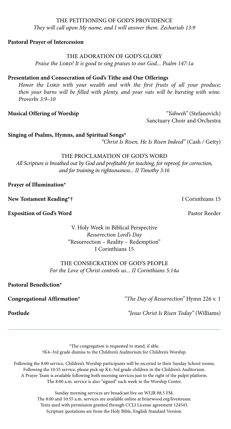### They will call upon My name, and I will answer them. Zechariah 13:9<br>Pastoral Prayer of Intercession THE PETITIONING OF GOD'S PROVIDENCE *They will call upon My name, and I will answer them. Zechariah 13:9*

#### **Pastoral Prayer of Intercession**

#### THE ADORATION OF GOD'S GLORY

*Praise the Lord! It is good to sing praises to our God... Psalm 147:1a*

#### **Presentation and Consecration of God's Tithe and Our Offerings**

Honor the LORD with your wealth and with the first fruits of all your produce; *then your barns will be filled with plenty, and your vats will be bursting with wine. Proverbs 3:9–10*

**Musical Offering of Worship** *"Yahweh"* (Stefanovich) Sanctuary Choir and Orchestra

**Singing of Psalms, Hymns, and Spiritual Songs\***

*"Christ Is Risen, He Is Risen Indeed"* (Cash / Getty)

#### THE PROCLAMATION OF GOD'S WORD

*All Scripture is breathed out by God and profitable for teaching, for reproof, for correction, and for training in righteousness... II Timothy 3:16*

**Prayer of Illumination\***

**New Testament Reading\*† I** Corinthians 15

**Exposition of God's Word** Pastor Reeder

V. Holy Week in Biblical Perspective *Resurrection Lord's Day* "Resurrection – Reality – Redemption" I Corinthians 15

#### THE CONSECRATION OF GOD'S PEOPLE *For the Love of Christ controls us... II Corinthians 5:14a*

**Pastoral Benediction\***

**Congregational Affirmation\*** *"The Day of Resurrection"* Hymn 226 v. 1

**Postlude** *"Jesus Christ Is Risen Today"* (Williams)

\*The congregation is requested to stand, if able. †K4–3rd grade dismiss to the Children's Auditorium for Children's Worship.

Following the 8:00 service, Children's Worship participants will be escorted to their Sunday School rooms. Following the 10:55 service, please pick up K4–3rd grade children in the Children's Auditorium. A Prayer Team is available following both morning services just to the right of the pulpit platform. The 8:00 a.m. service is also "signed" each week in the Worship Center.

> Sunday morning services are broadcast live on WLJR 88.5 FM. The 8:00 and 10:55 a.m. services are available online at briarwood.org/livestream. Texts used with permission granted through CCLI License agreement 124545. Scripture quotations are from the Holy Bible, English Standard Version.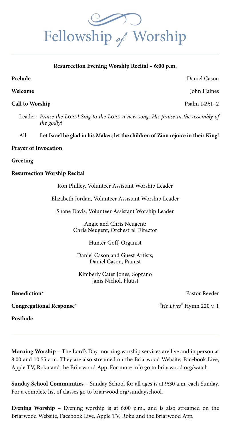Fellowship  $\phi$  Worship

#### **Resurrection Evening Worship Recital – 6:00 p.m.**

**Prelude** Daniel Cason

**Welcome** John Haines

**Call to Worship** Psalm 149:1–2

Leader: *Praise the Lord.* Sing to the Lord a new song, His praise in the assembly of  *the godly!*

#### All: **Let Israel be glad in his Maker; let the children of Zion rejoice in their King!**

#### **Prayer of Invocation**

**Greeting**

#### **Resurrection Worship Recital**

Ron Philley, Volunteer Assistant Worship Leader

Elizabeth Jordan, Volunteer Assistant Worship Leader

Shane Davis, Volunteer Assistant Worship Leader

Angie and Chris Neugent; Chris Neugent, Orchestral Director

Hunter Goff, Organist

Daniel Cason and Guest Artists; Daniel Cason, Pianist

Kimberly Cater Jones, Soprano Janis Nichol, Flutist

**Benediction\*** Pastor Reeder

**Congregational Response\*** *"He Lives"* Hymn 220 v. 1

**Postlude** 

**Morning Worship** – The Lord's Day morning worship services are live and in person at 8:00 and 10:55 a.m. They are also streamed on the Briarwood Website, Facebook Live, Apple TV, Roku and the Briarwood App. For more info go to briarwood.org/watch.

**Sunday School Communities** – Sunday School for all ages is at 9:30 a.m. each Sunday. For a complete list of classes go to briarwood.org/sundayschool.

**Evening Worship** – Evening worship is at 6:00 p.m., and is also streamed on the Briarwood Website, Facebook Live, Apple TV, Roku and the Briarwood App.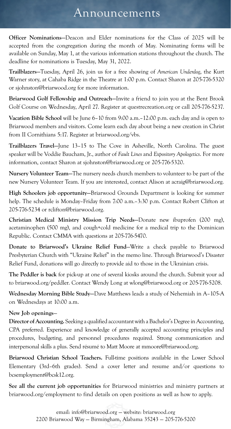## Announcements

**Officer Nominations—**Deacon and Elder nominations for the Class of 2025 will be accepted from the congregation during the month of May. Nominating forms will be available on Sunday, May 1, at the various information stations throughout the church. The deadline for nominations is Tuesday, May 31, 2022.

**Trailblazers—**Tuesday, April 26, join us for a free showing of *American Underdog*, the Kurt Warner story, at Cahaba Ridge in the Theatre at 1:00 p.m. Contact Sharon at 205-776-5320 or sjohnston@briarwood.org for more information.

**Briarwood Golf Fellowship and Outreach—**Invite a friend to join you at the Bent Brook Golf Course on Wednesday, April 27. Register at questrecreation.org or call 205-776-5237.

**Vacation Bible School** will be June 6–10 from 9:00 a.m.–12:00 p.m. each day and is open to Briarwood members and visitors. Come learn each day about being a new creation in Christ from II Cornithians 5:17. Register at briarwood.org/vbs.

**Trailblazers Travel—**June 13–15 to The Cove in Asheville, North Carolina. The guest speaker will be Voddie Baucham, Jr., author of *Fault Lines* and *Expository Apologetics*. For more information, contact Sharon at sjohnston@briarwood.org or 205-776-5320.

**Nursery Volunteer Team—**The nursery needs church members to volunteer to be part of the new Nursery Volunteer Team. If you are interested, contact Alison at acraig@briarwood.org.

**High Schoolers job opportunity—**Briarwood Grounds Department is looking for summer help. The schedule is Monday–Friday from 7:00 a.m.–3:30 p.m. Contact Robert Clifton at 205-776-5234 or rclifton@briarwood.org.

**Christian Medical Ministry Mission Trip Needs—**Donate new ibuprofen (200 mg), acetaminophen (500 mg), and cough+cold medicine for a medical trip to the Dominican Republic. Contact CMMA with questions at 205-776-5470.

**Donate to Briarwood's Ukraine Relief Fund**—Write a check payable to Briarwood Presbyterian Church with "Ukraine Relief" in the memo line. Through Briarwood's Disaster Relief Fund, donations will go directly to provide aid to those in the Ukrainian crisis.

**The Peddler is back** for pick-up at one of several kiosks around the church. Submit your ad to briarwood.org/peddler. Contact Wendy Long at wlong@briarwood.org or 205-776-5208.

**Wednesday Morning Bible Study—**Dave Matthews leads a study of Nehemiah in A–105-A on Wednesdays at 10:00 a.m.

#### **New Job openings**—

**Director of Accounting.** Seeking a qualified accountant with a Bachelor's Degree in Accounting, CPA preferred. Experience and knowledge of generally accepted accounting principles and procedures, budgeting, and personnel procedures required. Strong communication and interpersonal skills a plus. Send résumé to Matt Moore at mmoore@briarwood.org.

**Briarwood Christian School Teachers.** Full-time positions available in the Lower School Elementary (3rd–6th grades). Send a cover letter and resume and/or questions to bcsemployment@bcsk12.org.

**See all the current job opportunities** for Briarwood ministries and ministry partners at briarwood.org/employment to find details on open positions as well as how to apply.